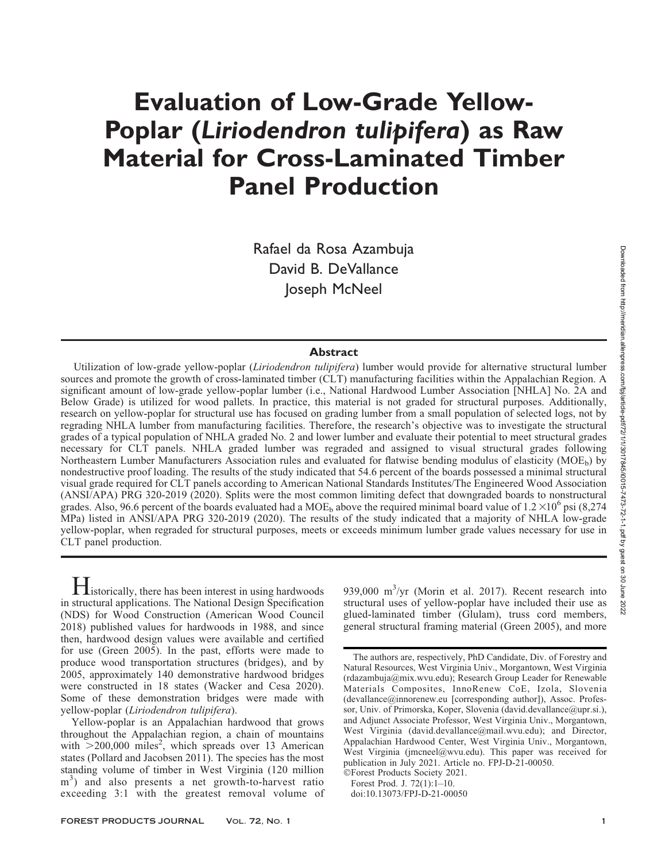# Evaluation of Low-Grade Yellow-Poplar (Liriodendron tulipifera) as Raw Material for Cross-Laminated Timber Panel Production

Rafael da Rosa Azambuja David B. DeVallance Joseph McNeel

# Abstract

Utilization of low-grade yellow-poplar *(Liriodendron tulipifera)* lumber would provide for alternative structural lumber sources and promote the growth of cross-laminated timber (CLT) manufacturing facilities within the Appalachian Region. A significant amount of low-grade yellow-poplar lumber (i.e., National Hardwood Lumber Association [NHLA] No. 2A and Below Grade) is utilized for wood pallets. In practice, this material is not graded for structural purposes. Additionally, research on yellow-poplar for structural use has focused on grading lumber from a small population of selected logs, not by regrading NHLA lumber from manufacturing facilities. Therefore, the research's objective was to investigate the structural grades of a typical population of NHLA graded No. 2 and lower lumber and evaluate their potential to meet structural grades necessary for CLT panels. NHLA graded lumber was regraded and assigned to visual structural grades following Northeastern Lumber Manufacturers Association rules and evaluated for flatwise bending modulus of elasticity (MOE<sub>b</sub>) by nondestructive proof loading. The results of the study indicated that 54.6 percent of the boards possessed a minimal structural visual grade required for CLT panels according to American National Standards Institutes/The Engineered Wood Association (ANSI/APA) PRG 320-2019 (2020). Splits were the most common limiting defect that downgraded boards to nonstructural grades. Also, 96.6 percent of the boards evaluated had a MOE<sub>b</sub> above the required minimal board value of  $1.2 \times 10^6$  psi (8,274 MPa) listed in ANSI/APA PRG 320-2019 (2020). The results of the study indicated that a majority of NHLA low-grade yellow-poplar, when regraded for structural purposes, meets or exceeds minimum lumber grade values necessary for use in CLT panel production.

**H**istorically, there has been interest in using hardwoods in structural applications. The National Design Specification (NDS) for Wood Construction (American Wood Council 2018) published values for hardwoods in 1988, and since then, hardwood design values were available and certified for use (Green 2005). In the past, efforts were made to produce wood transportation structures (bridges), and by 2005, approximately 140 demonstrative hardwood bridges were constructed in 18 states (Wacker and Cesa 2020). Some of these demonstration bridges were made with yellow-poplar (Liriodendron tulipifera).

Yellow-poplar is an Appalachian hardwood that grows throughout the Appalachian region, a chain of mountains with  $>$ 200,000 miles<sup>2</sup>, which spreads over 13 American states (Pollard and Jacobsen 2011). The species has the most standing volume of timber in West Virginia (120 million m<sup>3</sup>) and also presents a net growth-to-harvest ratio exceeding 3:1 with the greatest removal volume of

939,000  $\text{m}^3/\text{yr}$  (Morin et al. 2017). Recent research into structural uses of yellow-poplar have included their use as glued-laminated timber (Glulam), truss cord members, general structural framing material (Green 2005), and more

The authors are, respectively, PhD Candidate, Div. of Forestry and Natural Resources, West Virginia Univ., Morgantown, West Virginia (rdazambuja@mix.wvu.edu); Research Group Leader for Renewable Materials Composites, InnoRenew CoE, Izola, Slovenia (devallance@innorenew.eu [corresponding author]), Assoc. Professor, Univ. of Primorska, Koper, Slovenia (david.devallance@upr.si.), and Adjunct Associate Professor, West Virginia Univ., Morgantown, West Virginia (david.devallance@mail.wvu.edu); and Director, Appalachian Hardwood Center, West Virginia Univ., Morgantown, West Virginia (jmcneel@wvu.edu). This paper was received for publication in July 2021. Article no. FPJ-D-21-00050.

<sup>-</sup>Forest Products Society 2021. Forest Prod. J. 72(1):1–10.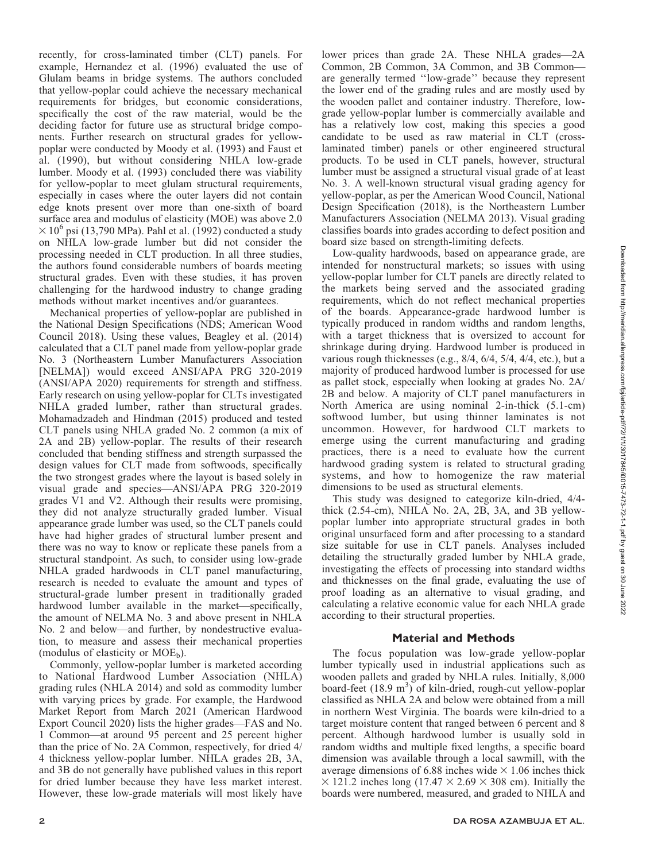recently, for cross-laminated timber (CLT) panels. For example, Hernandez et al. (1996) evaluated the use of Glulam beams in bridge systems. The authors concluded that yellow-poplar could achieve the necessary mechanical requirements for bridges, but economic considerations, specifically the cost of the raw material, would be the deciding factor for future use as structural bridge components. Further research on structural grades for yellowpoplar were conducted by Moody et al. (1993) and Faust et al. (1990), but without considering NHLA low-grade lumber. Moody et al. (1993) concluded there was viability for yellow-poplar to meet glulam structural requirements, especially in cases where the outer layers did not contain edge knots present over more than one-sixth of board surface area and modulus of elasticity (MOE) was above 2.0  $\times$  10<sup>6</sup> psi (13,790 MPa). Pahl et al. (1992) conducted a study on NHLA low-grade lumber but did not consider the processing needed in CLT production. In all three studies, the authors found considerable numbers of boards meeting structural grades. Even with these studies, it has proven challenging for the hardwood industry to change grading methods without market incentives and/or guarantees.

Mechanical properties of yellow-poplar are published in the National Design Specifications (NDS; American Wood Council 2018). Using these values, Beagley et al. (2014) calculated that a CLT panel made from yellow-poplar grade No. 3 (Northeastern Lumber Manufacturers Association [NELMA]) would exceed ANSI/APA PRG 320-2019 (ANSI/APA 2020) requirements for strength and stiffness. Early research on using yellow-poplar for CLTs investigated NHLA graded lumber, rather than structural grades. Mohamadzadeh and Hindman (2015) produced and tested CLT panels using NHLA graded No. 2 common (a mix of 2A and 2B) yellow-poplar. The results of their research concluded that bending stiffness and strength surpassed the design values for CLT made from softwoods, specifically the two strongest grades where the layout is based solely in visual grade and species—ANSI/APA PRG 320-2019 grades V1 and V2. Although their results were promising, they did not analyze structurally graded lumber. Visual appearance grade lumber was used, so the CLT panels could have had higher grades of structural lumber present and there was no way to know or replicate these panels from a structural standpoint. As such, to consider using low-grade NHLA graded hardwoods in CLT panel manufacturing, research is needed to evaluate the amount and types of structural-grade lumber present in traditionally graded hardwood lumber available in the market—specifically, the amount of NELMA No. 3 and above present in NHLA No. 2 and below—and further, by nondestructive evaluation, to measure and assess their mechanical properties (modulus of elasticity or  $MOE<sub>b</sub>$ ).

Commonly, yellow-poplar lumber is marketed according to National Hardwood Lumber Association (NHLA) grading rules (NHLA 2014) and sold as commodity lumber with varying prices by grade. For example, the Hardwood Market Report from March 2021 (American Hardwood Export Council 2020) lists the higher grades—FAS and No. 1 Common—at around 95 percent and 25 percent higher than the price of No. 2A Common, respectively, for dried 4/ 4 thickness yellow-poplar lumber. NHLA grades 2B, 3A, and 3B do not generally have published values in this report for dried lumber because they have less market interest. However, these low-grade materials will most likely have lower prices than grade 2A. These NHLA grades—2A Common, 2B Common, 3A Common, and 3B Common are generally termed ''low-grade'' because they represent the lower end of the grading rules and are mostly used by the wooden pallet and container industry. Therefore, lowgrade yellow-poplar lumber is commercially available and has a relatively low cost, making this species a good candidate to be used as raw material in CLT (crosslaminated timber) panels or other engineered structural products. To be used in CLT panels, however, structural lumber must be assigned a structural visual grade of at least No. 3. A well-known structural visual grading agency for yellow-poplar, as per the American Wood Council, National Design Specification (2018), is the Northeastern Lumber Manufacturers Association (NELMA 2013). Visual grading classifies boards into grades according to defect position and board size based on strength-limiting defects.

Low-quality hardwoods, based on appearance grade, are intended for nonstructural markets; so issues with using yellow-poplar lumber for CLT panels are directly related to the markets being served and the associated grading requirements, which do not reflect mechanical properties of the boards. Appearance-grade hardwood lumber is typically produced in random widths and random lengths, with a target thickness that is oversized to account for shrinkage during drying. Hardwood lumber is produced in various rough thicknesses (e.g., 8/4, 6/4, 5/4, 4/4, etc.), but a majority of produced hardwood lumber is processed for use as pallet stock, especially when looking at grades No. 2A/ 2B and below. A majority of CLT panel manufacturers in North America are using nominal 2-in-thick (5.1-cm) softwood lumber, but using thinner laminates is not uncommon. However, for hardwood CLT markets to emerge using the current manufacturing and grading practices, there is a need to evaluate how the current hardwood grading system is related to structural grading systems, and how to homogenize the raw material dimensions to be used as structural elements.

This study was designed to categorize kiln-dried, 4/4 thick (2.54-cm), NHLA No. 2A, 2B, 3A, and 3B yellowpoplar lumber into appropriate structural grades in both original unsurfaced form and after processing to a standard size suitable for use in CLT panels. Analyses included detailing the structurally graded lumber by NHLA grade, investigating the effects of processing into standard widths and thicknesses on the final grade, evaluating the use of proof loading as an alternative to visual grading, and calculating a relative economic value for each NHLA grade according to their structural properties.

# Material and Methods

The focus population was low-grade yellow-poplar lumber typically used in industrial applications such as wooden pallets and graded by NHLA rules. Initially, 8,000 board-feet (18.9 m<sup>3</sup>) of kiln-dried, rough-cut yellow-poplar classified as NHLA 2A and below were obtained from a mill in northern West Virginia. The boards were kiln-dried to a target moisture content that ranged between 6 percent and 8 percent. Although hardwood lumber is usually sold in random widths and multiple fixed lengths, a specific board dimension was available through a local sawmill, with the average dimensions of 6.88 inches wide  $\times$  1.06 inches thick  $\times$  121.2 inches long (17.47  $\times$  2.69  $\times$  308 cm). Initially the boards were numbered, measured, and graded to NHLA and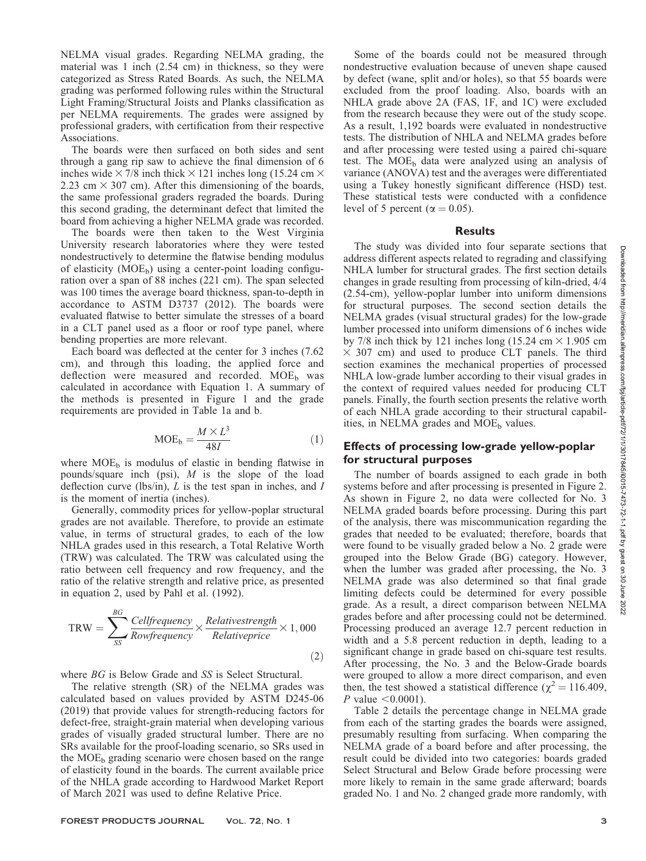NELMA visual grades. Regarding NELMA grading, the material was 1 inch (2.54 cm) in thickness, so they were categorized as Stress Rated Boards. As such, the NELMA grading was performed following rules within the Structural Light Framing/Structural Joists and Planks classification as per NELMA requirements. The grades were assigned by professional graders, with certification from their respective Associations.

The boards were then surfaced on both sides and sent through a gang rip saw to achieve the final dimension of 6 inches wide  $\times$  7/8 inch thick  $\times$  121 inches long (15.24 cm  $\times$ 2.23 cm  $\times$  307 cm). After this dimensioning of the boards, the same professional graders regraded the boards. During this second grading, the determinant defect that limited the board from achieving a higher NELMA grade was recorded.

The boards were then taken to the West Virginia University research laboratories where they were tested nondestructively to determine the flatwise bending modulus of elasticity  $(MOE<sub>b</sub>)$  using a center-point loading configuration over a span of 88 inches (221 cm). The span selected was 100 times the average board thickness, span-to-depth in accordance to ASTM D3737 (2012). The boards were evaluated flatwise to better simulate the stresses of a board in a CLT panel used as a floor or roof type panel, where bending properties are more relevant.

Each board was deflected at the center for 3 inches (7.62 cm), and through this loading, the applied force and deflection were measured and recorded.  $MOE<sub>b</sub>$  was calculated in accordance with Equation 1. A summary of the methods is presented in Figure 1 and the grade requirements are provided in Table 1a and b.

$$
MOE_b = \frac{M \times L^3}{48I} \tag{1}
$$

where  $MOE_b$  is modulus of elastic in bending flatwise in pounds/square inch (psi),  $M$  is the slope of the load deflection curve (lbs/in),  $L$  is the test span in inches, and  $I$ is the moment of inertia (inches).

Generally, commodity prices for yellow-poplar structural grades are not available. Therefore, to provide an estimate value, in terms of structural grades, to each of the low NHLA grades used in this research, a Total Relative Worth (TRW) was calculated. The TRW was calculated using the ratio between cell frequency and row frequency, and the ratio of the relative strength and relative price, as presented in equation 2, used by Pahl et al. (1992).

$$
TRW = \sum_{SS}^{BG} \frac{Cell frequency}{Row frequency} \times \frac{Relative strength}{Relative price} \times 1,000
$$
\n(2)

where *BG* is Below Grade and *SS* is Select Structural.

The relative strength (SR) of the NELMA grades was calculated based on values provided by ASTM D245-06 (2019) that provide values for strength-reducing factors for defect-free, straight-grain material when developing various grades of visually graded structural lumber. There are no SRs available for the proof-loading scenario, so SRs used in the  $MOE<sub>b</sub>$  grading scenario were chosen based on the range of elasticity found in the boards. The current available price of the NHLA grade according to Hardwood Market Report of March 2021 was used to define Relative Price.

FOREST PRODUCTS JOURNAL Vol. 72, No. 1 3

Some of the boards could not be measured through nondestructive evaluation because of uneven shape caused by defect (wane, split and/or holes), so that 55 boards were excluded from the proof loading. Also, boards with an NHLA grade above 2A (FAS, 1F, and 1C) were excluded from the research because they were out of the study scope. As a result, 1,192 boards were evaluated in nondestructive tests. The distribution of NHLA and NELMA grades before and after processing were tested using a paired chi-square test. The  $MOE_b$  data were analyzed using an analysis of variance (ANOVA) test and the averages were differentiated using a Tukey honestly significant difference (HSD) test. These statistical tests were conducted with a confidence level of 5 percent ( $\alpha = 0.05$ ).

#### **Results**

The study was divided into four separate sections that address different aspects related to regrading and classifying NHLA lumber for structural grades. The first section details changes in grade resulting from processing of kiln-dried, 4/4 (2.54-cm), yellow-poplar lumber into uniform dimensions for structural purposes. The second section details the NELMA grades (visual structural grades) for the low-grade lumber processed into uniform dimensions of 6 inches wide by 7/8 inch thick by 121 inches long (15.24 cm  $\times$  1.905 cm  $\times$  307 cm) and used to produce CLT panels. The third section examines the mechanical properties of processed NHLA low-grade lumber according to their visual grades in the context of required values needed for producing CLT panels. Finally, the fourth section presents the relative worth of each NHLA grade according to their structural capabilities, in NELMA grades and  $MOE_b$  values.

# Effects of processing low-grade yellow-poplar for structural purposes

The number of boards assigned to each grade in both systems before and after processing is presented in Figure 2. As shown in Figure 2, no data were collected for No. 3 NELMA graded boards before processing. During this part of the analysis, there was miscommunication regarding the grades that needed to be evaluated; therefore, boards that were found to be visually graded below a No. 2 grade were grouped into the Below Grade (BG) category. However, when the lumber was graded after processing, the No. 3 NELMA grade was also determined so that final grade limiting defects could be determined for every possible grade. As a result, a direct comparison between NELMA grades before and after processing could not be determined. Processing produced an average 12.7 percent reduction in width and a 5.8 percent reduction in depth, leading to a significant change in grade based on chi-square test results. After processing, the No. 3 and the Below-Grade boards were grouped to allow a more direct comparison, and even then, the test showed a statistical difference ( $\chi^2 = 116.409$ , *P* value  $< 0.0001$ ).

Table 2 details the percentage change in NELMA grade from each of the starting grades the boards were assigned, presumably resulting from surfacing. When comparing the NELMA grade of a board before and after processing, the result could be divided into two categories: boards graded Select Structural and Below Grade before processing were more likely to remain in the same grade afterward; boards graded No. 1 and No. 2 changed grade more randomly, with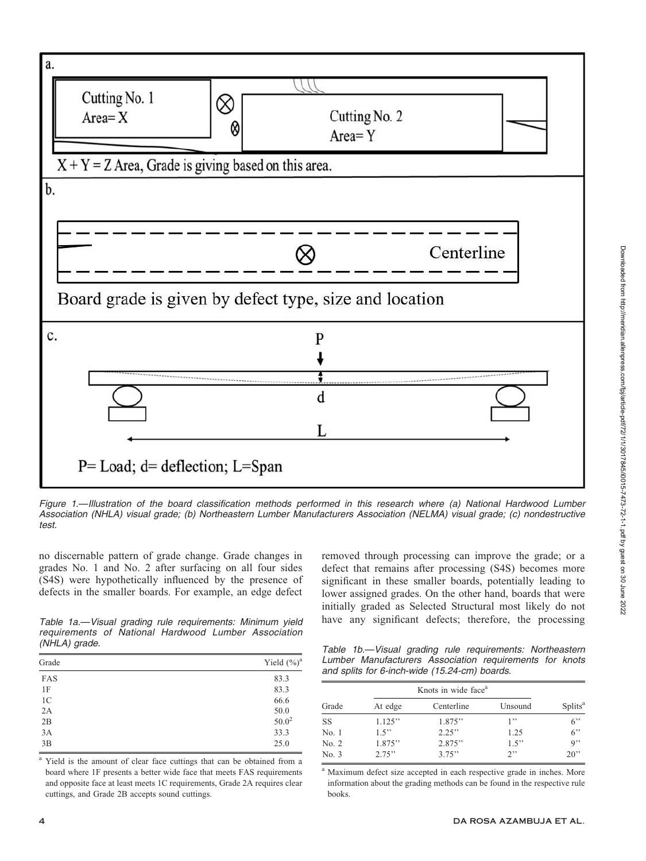

Figure 1.—Illustration of the board classification methods performed in this research where (a) National Hardwood Lumber Association (NHLA) visual grade; (b) Northeastern Lumber Manufacturers Association (NELMA) visual grade; (c) nondestructive test.

no discernable pattern of grade change. Grade changes in grades No. 1 and No. 2 after surfacing on all four sides (S4S) were hypothetically influenced by the presence of defects in the smaller boards. For example, an edge defect removed through processing can improve the grade; or a defect that remains after processing (S4S) becomes more significant in these smaller boards, potentially leading to lower assigned grades. On the other hand, boards that were initially graded as Selected Structural most likely do not

Table 1a.—Visual grading rule requirements: Minimum yield have any significant defects; therefore, the processing requirements of National Hardwood Lumber Association (NHLA) grade.

| Grade          | Yield $(\%)^a$ |
|----------------|----------------|
| FAS            | 83.3           |
| 1F             | 83.3           |
| 1 <sup>C</sup> | 66.6           |
| 2A             | 50.0           |
| 2B             | $50.0^{2}$     |
| 3A             | 33.3           |
| 3B             | 25.0           |

<sup>a</sup> Yield is the amount of clear face cuttings that can be obtained from a board where 1F presents a better wide face that meets FAS requirements and opposite face at least meets 1C requirements, Grade 2A requires clear cuttings, and Grade 2B accepts sound cuttings.

Table 1b.—Visual grading rule requirements: Northeastern Lumber Manufacturers Association requirements for knots and splits for 6-inch-wide (15.24-cm) boards.

|           |         | Knots in wide face <sup>a</sup> |         |                     |
|-----------|---------|---------------------------------|---------|---------------------|
| Grade     | At edge | Centerline                      | Unsound | Splits <sup>a</sup> |
| <b>SS</b> | 1.125"  | 1.875"                          | 1"      | 6"                  |
| No.1      | 1.5"    | 2.25"                           | 1.25    | 6"                  |
| No. 2     | 1.875"  | 2.875"                          | 1.5"    | $Q$ <sup>2</sup>    |
| No. 3     | 2.75"   | 3.75"                           | 2       | 20                  |

<sup>a</sup> Maximum defect size accepted in each respective grade in inches. More information about the grading methods can be found in the respective rule books.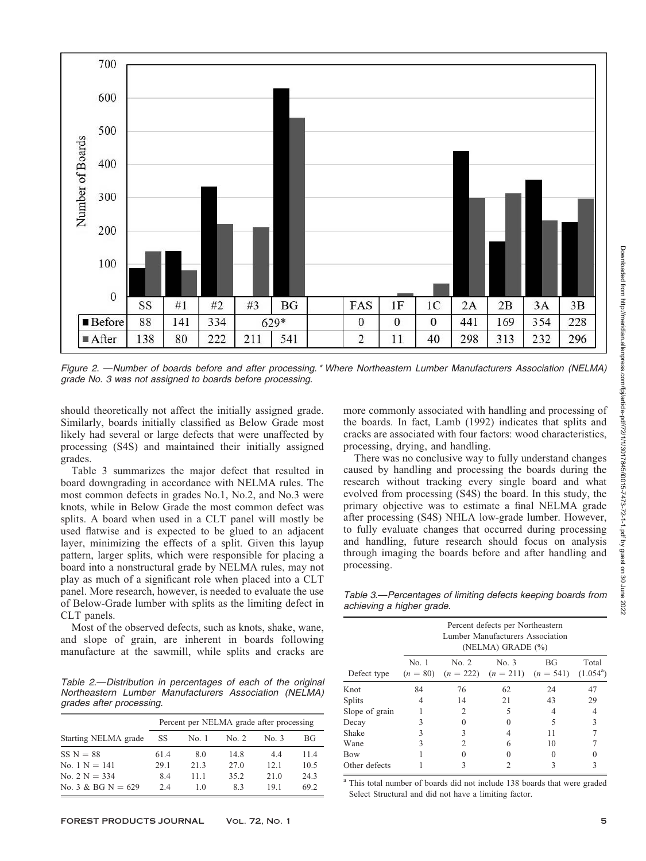

Figure 2. —Number of boards before and after processing.\* Where Northeastern Lumber Manufacturers Association (NELMA) grade No. 3 was not assigned to boards before processing.

should theoretically not affect the initially assigned grade. Similarly, boards initially classified as Below Grade most likely had several or large defects that were unaffected by processing (S4S) and maintained their initially assigned grades.

Table 3 summarizes the major defect that resulted in board downgrading in accordance with NELMA rules. The most common defects in grades No.1, No.2, and No.3 were knots, while in Below Grade the most common defect was splits. A board when used in a CLT panel will mostly be used flatwise and is expected to be glued to an adjacent layer, minimizing the effects of a split. Given this layup pattern, larger splits, which were responsible for placing a board into a nonstructural grade by NELMA rules, may not play as much of a significant role when placed into a CLT panel. More research, however, is needed to evaluate the use of Below-Grade lumber with splits as the limiting defect in CLT panels.

Most of the observed defects, such as knots, shake, wane, and slope of grain, are inherent in boards following manufacture at the sawmill, while splits and cracks are

Table 2.—Distribution in percentages of each of the original Northeastern Lumber Manufacturers Association (NELMA) grades after processing.

|                      | Percent per NELMA grade after processing |       |       |       |           |  |  |
|----------------------|------------------------------------------|-------|-------|-------|-----------|--|--|
| Starting NELMA grade | SS                                       | No. 1 | No. 2 | No. 3 | <b>BG</b> |  |  |
| $SS N = 88$          | 61.4                                     | 8.0   | 14.8  | 44    | 114       |  |  |
| No. $1 N = 141$      | 29.1                                     | 213   | 27.0  | 12.1  | 10.5      |  |  |
| No. 2 $N = 334$      | 8.4                                      | 11 1  | 35.2  | 21.0  | 24.3      |  |  |
| No. 3 & BG N = $629$ | 2.4                                      | 10    | 83    | 191   | 69.2      |  |  |

more commonly associated with handling and processing of the boards. In fact, Lamb (1992) indicates that splits and cracks are associated with four factors: wood characteristics, processing, drying, and handling.

There was no conclusive way to fully understand changes caused by handling and processing the boards during the research without tracking every single board and what evolved from processing (S4S) the board. In this study, the primary objective was to estimate a final NELMA grade after processing (S4S) NHLA low-grade lumber. However, to fully evaluate changes that occurred during processing and handling, future research should focus on analysis through imaging the boards before and after handling and processing.

Table 3.—Percentages of limiting defects keeping boards from achieving a higher grade.

|                |       | Percent defects per Northeastern<br>Lumber Manufacturers Association<br>(NELMA) GRADE (%)      |    |    |    |  |  |  |  |  |
|----------------|-------|------------------------------------------------------------------------------------------------|----|----|----|--|--|--|--|--|
| Defect type    | No. 1 | No. 2<br>No. 3<br>ВG<br>Total<br>$(1.054^a)$<br>$(n = 80)$ $(n = 222)$ $(n = 211)$ $(n = 541)$ |    |    |    |  |  |  |  |  |
| Knot           | 84    | 76                                                                                             | 62 | 24 | 47 |  |  |  |  |  |
| <b>Splits</b>  | 4     | 14                                                                                             | 21 | 43 | 29 |  |  |  |  |  |
| Slope of grain |       | 2                                                                                              | 5  |    |    |  |  |  |  |  |
| Decay          | 3     | 0                                                                                              |    | 5  | 3  |  |  |  |  |  |
| Shake          | 3     | 3                                                                                              |    | 11 |    |  |  |  |  |  |
| Wane           | 3     | 2                                                                                              | 6  | 10 |    |  |  |  |  |  |
| Bow            |       | $\mathbf{0}$                                                                                   |    |    |    |  |  |  |  |  |
| Other defects  |       | 3                                                                                              |    | 3  |    |  |  |  |  |  |

<sup>a</sup> This total number of boards did not include 138 boards that were graded Select Structural and did not have a limiting factor.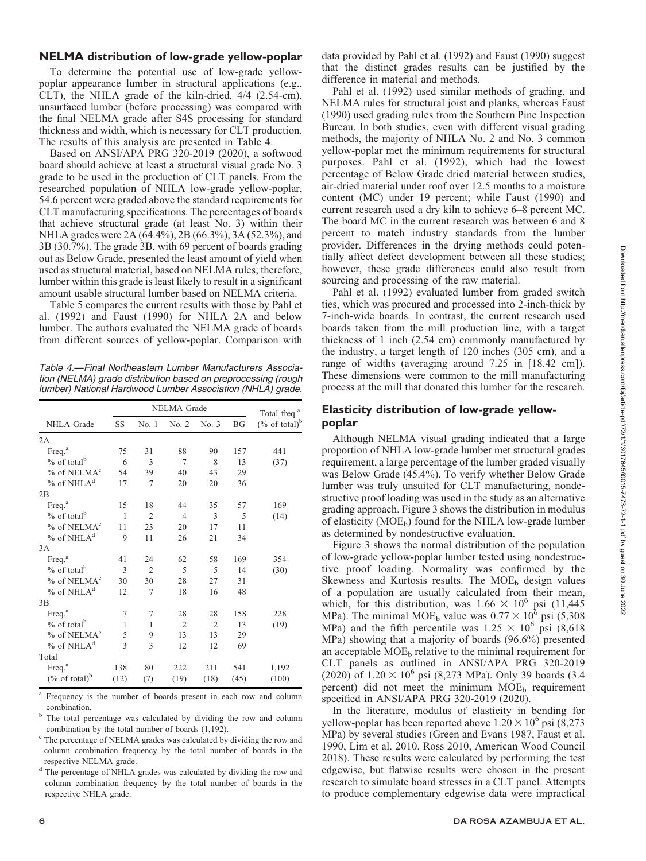# NELMA distribution of low-grade yellow-poplar

To determine the potential use of low-grade yellowpoplar appearance lumber in structural applications (e.g., CLT), the NHLA grade of the kiln-dried, 4/4 (2.54-cm), unsurfaced lumber (before processing) was compared with the final NELMA grade after S4S processing for standard thickness and width, which is necessary for CLT production. The results of this analysis are presented in Table 4.

Based on ANSI/APA PRG 320-2019 (2020), a softwood board should achieve at least a structural visual grade No. 3 grade to be used in the production of CLT panels. From the researched population of NHLA low-grade yellow-poplar, 54.6 percent were graded above the standard requirements for CLT manufacturing specifications. The percentages of boards that achieve structural grade (at least No. 3) within their NHLA grades were 2A (64.4%), 2B (66.3%), 3A (52.3%), and 3B (30.7%). The grade 3B, with 69 percent of boards grading out as Below Grade, presented the least amount of yield when used as structural material, based on NELMA rules; therefore, lumber within this grade is least likely to result in a significant amount usable structural lumber based on NELMA criteria.

Table 5 compares the current results with those by Pahl et al. (1992) and Faust (1990) for NHLA 2A and below lumber. The authors evaluated the NELMA grade of boards from different sources of yellow-poplar. Comparison with

Table 4.—Final Northeastern Lumber Manufacturers Association (NELMA) grade distribution based on preprocessing (rough lumber) National Hardwood Lumber Association (NHLA) grade.

|                              |      | <b>NELMA</b> Grade | Total freq. <sup>a</sup> |                |           |                              |
|------------------------------|------|--------------------|--------------------------|----------------|-----------|------------------------------|
| NHLA Grade                   | SS   | No.1               | No. 2                    | No. 3          | <b>BG</b> | $(\%$ of total) <sup>b</sup> |
| 2A                           |      |                    |                          |                |           |                              |
| Freq. <sup>a</sup>           | 75   | 31                 | 88                       | 90             | 157       | 441                          |
| $%$ of total <sup>b</sup>    | 6    | 3                  | $\tau$                   | 8              | 13        | (37)                         |
| % of NELMA <sup>c</sup>      | 54   | 39                 | 40                       | 43             | 29        |                              |
| $%$ of NHLA <sup>d</sup>     | 17   | 7                  | 20                       | 20             | 36        |                              |
| 2B                           |      |                    |                          |                |           |                              |
| Freq. <sup>a</sup>           | 15   | 18                 | 44                       | 35             | 57        | 169                          |
| $%$ of total <sup>b</sup>    | 1    | $\overline{2}$     | $\overline{4}$           | 3              | 5         | (14)                         |
| % of NELMA <sup>c</sup>      | 11   | 23                 | 20                       | 17             | 11        |                              |
| $%$ of NHLA <sup>d</sup>     | 9    | 11                 | 26                       | 21             | 34        |                              |
| 3A                           |      |                    |                          |                |           |                              |
| Freq. <sup>a</sup>           | 41   | 24                 | 62                       | 58             | 169       | 354                          |
| $%$ of total <sup>b</sup>    | 3    | $\overline{2}$     | 5                        | 5              | 14        | (30)                         |
| % of NELMA <sup>c</sup>      | 30   | 30                 | 28                       | 27             | 31        |                              |
| $%$ of NHLA <sup>d</sup>     | 12   | 7                  | 18                       | 16             | 48        |                              |
| 3B                           |      |                    |                          |                |           |                              |
| Freq. <sup>a</sup>           | 7    | 7                  | 28                       | 28             | 158       | 228                          |
| $%$ of total <sup>b</sup>    | 1    | 1                  | $\overline{2}$           | $\overline{2}$ | 13        | (19)                         |
| % of NELMA <sup>c</sup>      | 5    | 9                  | 13                       | 13             | 29        |                              |
| $%$ of NHLA <sup>d</sup>     | 3    | 3                  | 12                       | 12             | 69        |                              |
| Total                        |      |                    |                          |                |           |                              |
| Freq. <sup>a</sup>           | 138  | 80                 | 222                      | 211            | 541       | 1,192                        |
| $(\%$ of total) <sup>b</sup> | (12) | (7)                | (19)                     | (18)           | (45)      | (100)                        |

Frequency is the number of boards present in each row and column

combination.<br>The total percentage was calculated by dividing the row and column combination by the total number of boards (1,192).

<sup>c</sup> The percentage of NELMA grades was calculated by dividing the row and column combination frequency by the total number of boards in the respective NELMA grade.

<sup>d</sup> The percentage of NHLA grades was calculated by dividing the row and column combination frequency by the total number of boards in the respective NHLA grade.

data provided by Pahl et al. (1992) and Faust (1990) suggest that the distinct grades results can be justified by the difference in material and methods.

Pahl et al. (1992) used similar methods of grading, and NELMA rules for structural joist and planks, whereas Faust (1990) used grading rules from the Southern Pine Inspection Bureau. In both studies, even with different visual grading methods, the majority of NHLA No. 2 and No. 3 common yellow-poplar met the minimum requirements for structural purposes. Pahl et al. (1992), which had the lowest percentage of Below Grade dried material between studies, air-dried material under roof over 12.5 months to a moisture content (MC) under 19 percent; while Faust (1990) and current research used a dry kiln to achieve 6–8 percent MC. The board MC in the current research was between 6 and 8 percent to match industry standards from the lumber provider. Differences in the drying methods could potentially affect defect development between all these studies; however, these grade differences could also result from sourcing and processing of the raw material.

Pahl et al. (1992) evaluated lumber from graded switch ties, which was procured and processed into 2-inch-thick by 7-inch-wide boards. In contrast, the current research used boards taken from the mill production line, with a target thickness of 1 inch (2.54 cm) commonly manufactured by the industry, a target length of 120 inches (305 cm), and a range of widths (averaging around 7.25 in [18.42 cm]). These dimensions were common to the mill manufacturing process at the mill that donated this lumber for the research.

# Elasticity distribution of low-grade yellowpoplar

Although NELMA visual grading indicated that a large proportion of NHLA low-grade lumber met structural grades requirement, a large percentage of the lumber graded visually was Below Grade (45.4%). To verify whether Below Grade lumber was truly unsuited for CLT manufacturing, nondestructive proof loading was used in the study as an alternative grading approach. Figure 3 shows the distribution in modulus of elasticity  $(MOE<sub>b</sub>)$  found for the NHLA low-grade lumber as determined by nondestructive evaluation.

Figure 3 shows the normal distribution of the population of low-grade yellow-poplar lumber tested using nondestructive proof loading. Normality was confirmed by the Skewness and Kurtosis results. The  $MOE<sub>b</sub>$  design values of a population are usually calculated from their mean, which, for this distribution, was  $1.66 \times 10^6$  psi (11,445) MPa). The minimal MOE<sub>b</sub> value was  $0.77 \times 10^6$  psi (5,308) MPa) and the fifth percentile was  $1.25 \times 10^6$  psi (8,618) MPa) showing that a majority of boards (96.6%) presented an acceptable  $MOE<sub>b</sub>$  relative to the minimal requirement for CLT panels as outlined in ANSI/APA PRG 320-2019 (2020) of  $1.20 \times 10^6$  psi (8,273 MPa). Only 39 boards (3.4 percent) did not meet the minimum  $MOE_b$  requirement specified in ANSI/APA PRG 320-2019 (2020).

In the literature, modulus of elasticity in bending for yellow-poplar has been reported above  $1.20 \times 10^6$  psi (8,273) MPa) by several studies (Green and Evans 1987, Faust et al. 1990, Lim et al. 2010, Ross 2010, American Wood Council 2018). These results were calculated by performing the test edgewise, but flatwise results were chosen in the present research to simulate board stresses in a CLT panel. Attempts to produce complementary edgewise data were impractical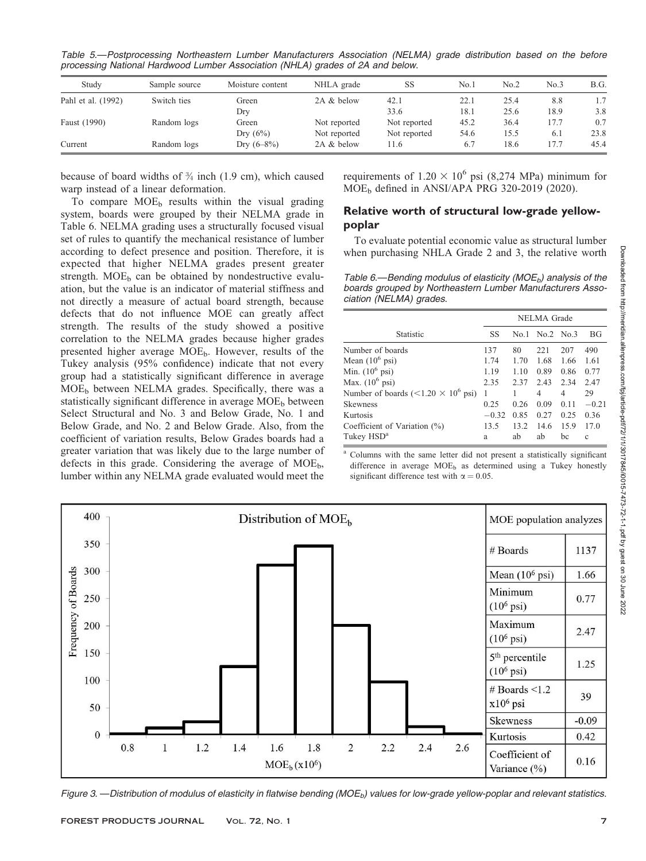Table 5.—Postprocessing Northeastern Lumber Manufacturers Association (NELMA) grade distribution based on the before processing National Hardwood Lumber Association (NHLA) grades of 2A and below.

| Study              | Sample source | Moisture content | NHLA grade   | SS           | No.1 | No.2 | No.3 | B.G. |
|--------------------|---------------|------------------|--------------|--------------|------|------|------|------|
| Pahl et al. (1992) | Switch ties   | Green            | 2A & below   | 42.1         | 22.1 | 25.4 | 8.8  | 1.7  |
|                    |               | Dry              |              | 33.6         | 18.1 | 25.6 | 18.9 | 3.8  |
| Faust (1990)       | Random logs   | Green            | Not reported | Not reported | 45.2 | 36.4 | 17.7 | 0.7  |
|                    |               | Dry $(6\%)$      | Not reported | Not reported | 54.6 | 15.5 | 6.1  | 23.8 |
| Current            | Random logs   | Dry $(6-8\%)$    | 2A & below   | 11.6         | 6.7  | 18.6 | 17.7 | 45.4 |

because of board widths of  $\frac{3}{4}$  inch (1.9 cm), which caused warp instead of a linear deformation.

To compare  $MOE_b$  results within the visual grading system, boards were grouped by their NELMA grade in Table 6. NELMA grading uses a structurally focused visual set of rules to quantify the mechanical resistance of lumber according to defect presence and position. Therefore, it is expected that higher NELMA grades present greater strength.  $MOE<sub>b</sub>$  can be obtained by nondestructive evaluation, but the value is an indicator of material stiffness and not directly a measure of actual board strength, because defects that do not influence MOE can greatly affect strength. The results of the study showed a positive correlation to the NELMA grades because higher grades presented higher average MOE<sub>b</sub>. However, results of the Tukey analysis (95% confidence) indicate that not every group had a statistically significant difference in average  $MOE<sub>b</sub>$  between NELMA grades. Specifically, there was a statistically significant difference in average  $MOE<sub>b</sub>$  between Select Structural and No. 3 and Below Grade, No. 1 and Below Grade, and No. 2 and Below Grade. Also, from the coefficient of variation results, Below Grades boards had a greater variation that was likely due to the large number of defects in this grade. Considering the average of  $MOE_b$ , lumber within any NELMA grade evaluated would meet the requirements of  $1.20 \times 10^6$  psi (8,274 MPa) minimum for MOE<sub>b</sub> defined in ANSI/APA PRG 320-2019 (2020).

# Relative worth of structural low-grade yellowpoplar

To evaluate potential economic value as structural lumber when purchasing NHLA Grade 2 and 3, the relative worth

Table 6.—Bending modulus of elasticity (MOE<sub>b</sub>) analysis of the boards grouped by Northeastern Lumber Manufacturers Association (NELMA) grades.

|                                                       | NELMA Grade |      |           |      |              |
|-------------------------------------------------------|-------------|------|-----------|------|--------------|
| Statistic                                             | SS          | No 1 | No.2 No.3 |      | ВG           |
| Number of boards                                      | 137         | 80   | 22.1      | 207  | 490          |
| Mean $(10^6 \text{ psi})$                             | 1.74        | 1.70 | 1.68      | 1.66 | 1.61         |
| Min. $(10^6 \text{ psi})$                             | 1.19        | 1.10 | 0.89      | 0.86 | 0.77         |
| Max. $(10^6 \text{ psi})$                             | 2.35        | 2.37 | 2.43      | 2.34 | 2.47         |
| Number of boards (<1.20 $\times$ 10 <sup>6</sup> psi) | 1           |      | 4         | 4    | 29           |
| <b>Skewness</b>                                       | 0.25        | 0.26 | 0.09      | 0.11 | $-0.21$      |
| Kurtosis                                              | $-0.32$     | 0.85 | 0.27      | 0.25 | 0.36         |
| Coefficient of Variation $(\%)$                       | 13.5        | 132  | 14.6      | 15.9 | 170          |
| Tukey HSD <sup>a</sup>                                | a           | ab   | ab        | bc   | $\mathbf{c}$ |

<sup>a</sup> Columns with the same letter did not present a statistically significant difference in average  $MOE_b$  as determined using a Tukey honestly significant difference test with  $\alpha = 0.05$ .



Figure 3. —Distribution of modulus of elasticity in flatwise bending (MOE<sub>b</sub>) values for low-grade yellow-poplar and relevant statistics.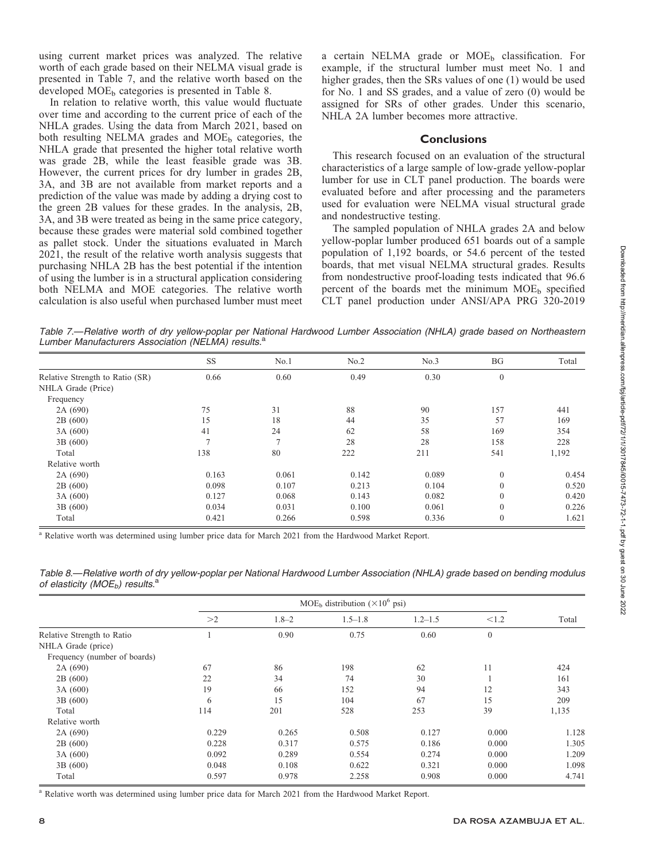using current market prices was analyzed. The relative worth of each grade based on their NELMA visual grade is presented in Table 7, and the relative worth based on the developed  $MOE<sub>b</sub>$  categories is presented in Table 8.

In relation to relative worth, this value would fluctuate over time and according to the current price of each of the NHLA grades. Using the data from March 2021, based on both resulting NELMA grades and  $MOE<sub>b</sub>$  categories, the NHLA grade that presented the higher total relative worth was grade 2B, while the least feasible grade was 3B. However, the current prices for dry lumber in grades 2B, 3A, and 3B are not available from market reports and a prediction of the value was made by adding a drying cost to the green 2B values for these grades. In the analysis, 2B, 3A, and 3B were treated as being in the same price category, because these grades were material sold combined together as pallet stock. Under the situations evaluated in March 2021, the result of the relative worth analysis suggests that purchasing NHLA 2B has the best potential if the intention of using the lumber is in a structural application considering both NELMA and MOE categories. The relative worth calculation is also useful when purchased lumber must meet a certain NELMA grade or  $MOE<sub>b</sub>$  classification. For example, if the structural lumber must meet No. 1 and higher grades, then the SRs values of one (1) would be used for No. 1 and SS grades, and a value of zero (0) would be assigned for SRs of other grades. Under this scenario, NHLA 2A lumber becomes more attractive.

#### **Conclusions**

This research focused on an evaluation of the structural characteristics of a large sample of low-grade yellow-poplar lumber for use in CLT panel production. The boards were evaluated before and after processing and the parameters used for evaluation were NELMA visual structural grade and nondestructive testing.

The sampled population of NHLA grades 2A and below yellow-poplar lumber produced 651 boards out of a sample population of 1,192 boards, or 54.6 percent of the tested boards, that met visual NELMA structural grades. Results from nondestructive proof-loading tests indicated that 96.6 percent of the boards met the minimum  $MOE<sub>b</sub>$  specified CLT panel production under ANSI/APA PRG 320-2019

Table 7.—Relative worth of dry yellow-poplar per National Hardwood Lumber Association (NHLA) grade based on Northeastern Lumber Manufacturers Association (NELMA) results.<sup>a</sup>

|                                 | <b>SS</b> | No.1          | No.2  | No.3  | BG           | Total |
|---------------------------------|-----------|---------------|-------|-------|--------------|-------|
| Relative Strength to Ratio (SR) | 0.66      | 0.60          | 0.49  | 0.30  | $\mathbf{0}$ |       |
| NHLA Grade (Price)              |           |               |       |       |              |       |
| Frequency                       |           |               |       |       |              |       |
| 2A(690)                         | 75        | 31            | 88    | 90    | 157          | 441   |
| 2B(600)                         | 15        | 18            | 44    | 35    | 57           | 169   |
| 3A(600)                         | 41        | 24            | 62    | 58    | 169          | 354   |
| 3B(600)                         |           | $\mathcal{I}$ | 28    | 28    | 158          | 228   |
| Total                           | 138       | 80            | 222   | 211   | 541          | 1,192 |
| Relative worth                  |           |               |       |       |              |       |
| 2A (690)                        | 0.163     | 0.061         | 0.142 | 0.089 | $\mathbf{0}$ | 0.454 |
| 2B(600)                         | 0.098     | 0.107         | 0.213 | 0.104 | $\Omega$     | 0.520 |
| 3A(600)                         | 0.127     | 0.068         | 0.143 | 0.082 | $\Omega$     | 0.420 |
| 3B (600)                        | 0.034     | 0.031         | 0.100 | 0.061 | $\mathbf{0}$ | 0.226 |
| Total                           | 0.421     | 0.266         | 0.598 | 0.336 | $\mathbf{0}$ | 1.621 |

<sup>a</sup> Relative worth was determined using lumber price data for March 2021 from the Hardwood Market Report.

Table 8.—Relative worth of dry yellow-poplar per National Hardwood Lumber Association (NHLA) grade based on bending modulus of elasticity ( $MOE_b$ ) results.<sup>a</sup>

|                              | MOE <sub>b</sub> distribution ( $\times 10^6$ psi) |           |             |             |              |       |
|------------------------------|----------------------------------------------------|-----------|-------------|-------------|--------------|-------|
|                              | >2                                                 | $1.8 - 2$ | $1.5 - 1.8$ | $1.2 - 1.5$ | < 1.2        | Total |
| Relative Strength to Ratio   |                                                    | 0.90      | 0.75        | 0.60        | $\mathbf{0}$ |       |
| NHLA Grade (price)           |                                                    |           |             |             |              |       |
| Frequency (number of boards) |                                                    |           |             |             |              |       |
| 2A(690)                      | 67                                                 | 86        | 198         | 62          | 11           | 424   |
| 2B(600)                      | 22                                                 | 34        | 74          | 30          |              | 161   |
| 3A (600)                     | 19                                                 | 66        | 152         | 94          | 12           | 343   |
| 3B (600)                     | 6                                                  | 15        | 104         | 67          | 15           | 209   |
| Total                        | 114                                                | 201       | 528         | 253         | 39           | 1,135 |
| Relative worth               |                                                    |           |             |             |              |       |
| 2A (690)                     | 0.229                                              | 0.265     | 0.508       | 0.127       | 0.000        | 1.128 |
| 2B(600)                      | 0.228                                              | 0.317     | 0.575       | 0.186       | 0.000        | 1.305 |
| 3A(600)                      | 0.092                                              | 0.289     | 0.554       | 0.274       | 0.000        | 1.209 |
| 3B (600)                     | 0.048                                              | 0.108     | 0.622       | 0.321       | 0.000        | 1.098 |
| Total                        | 0.597                                              | 0.978     | 2.258       | 0.908       | 0.000        | 4.741 |

<sup>a</sup> Relative worth was determined using lumber price data for March 2021 from the Hardwood Market Report.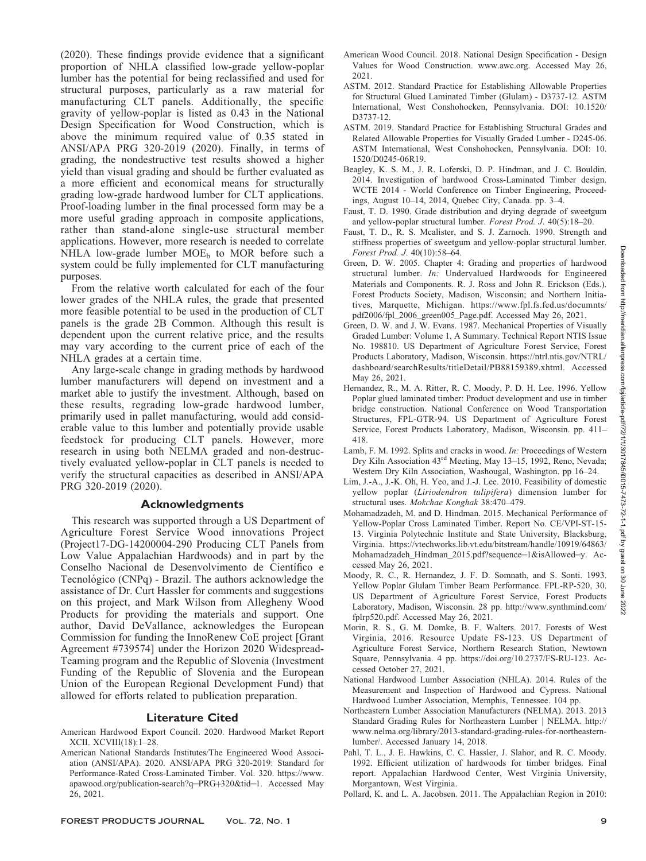(2020). These findings provide evidence that a significant proportion of NHLA classified low-grade yellow-poplar lumber has the potential for being reclassified and used for structural purposes, particularly as a raw material for manufacturing CLT panels. Additionally, the specific gravity of yellow-poplar is listed as 0.43 in the National Design Specification for Wood Construction, which is above the minimum required value of 0.35 stated in ANSI/APA PRG 320-2019 (2020). Finally, in terms of grading, the nondestructive test results showed a higher yield than visual grading and should be further evaluated as a more efficient and economical means for structurally grading low-grade hardwood lumber for CLT applications. Proof-loading lumber in the final processed form may be a more useful grading approach in composite applications, rather than stand-alone single-use structural member applications. However, more research is needed to correlate NHLA low-grade lumber  $MOE<sub>b</sub>$  to MOR before such a system could be fully implemented for CLT manufacturing purposes.

From the relative worth calculated for each of the four lower grades of the NHLA rules, the grade that presented more feasible potential to be used in the production of CLT panels is the grade 2B Common. Although this result is dependent upon the current relative price, and the results may vary according to the current price of each of the NHLA grades at a certain time.

Any large-scale change in grading methods by hardwood lumber manufacturers will depend on investment and a market able to justify the investment. Although, based on these results, regrading low-grade hardwood lumber, primarily used in pallet manufacturing, would add considerable value to this lumber and potentially provide usable feedstock for producing CLT panels. However, more research in using both NELMA graded and non-destructively evaluated yellow-poplar in CLT panels is needed to verify the structural capacities as described in ANSI/APA PRG 320-2019 (2020).

# Acknowledgments

This research was supported through a US Department of Agriculture Forest Service Wood innovations Project (Project17-DG-14200004-290 Producing CLT Panels from Low Value Appalachian Hardwoods) and in part by the Conselho Nacional de Desenvolvimento de Científico e Tecnológico (CNPq) - Brazil. The authors acknowledge the assistance of Dr. Curt Hassler for comments and suggestions on this project, and Mark Wilson from Allegheny Wood Products for providing the materials and support. One author, David DeVallance, acknowledges the European Commission for funding the InnoRenew CoE project [Grant Agreement #739574] under the Horizon 2020 Widespread-Teaming program and the Republic of Slovenia (Investment Funding of the Republic of Slovenia and the European Union of the European Regional Development Fund) that allowed for efforts related to publication preparation.

# Literature Cited

- American Hardwood Export Council. 2020. Hardwood Market Report XCII. XCVIII(18):1–28.
- American National Standards Institutes/The Engineered Wood Association (ANSI/APA). 2020. ANSI/APA PRG 320-2019: Standard for Performance-Rated Cross-Laminated Timber. Vol. 320. https://www. apawood.org/publication-search?q=PRG+320&tid=1. Accessed May 26, 2021.
- American Wood Council. 2018. National Design Specification Design Values for Wood Construction. www.awc.org. Accessed May 26, 2021.
- ASTM. 2012. Standard Practice for Establishing Allowable Properties for Structural Glued Laminated Timber (Glulam) - D3737-12. ASTM International, West Conshohocken, Pennsylvania. DOI: 10.1520/ D3737-12.
- ASTM. 2019. Standard Practice for Establishing Structural Grades and Related Allowable Properties for Visually Graded Lumber - D245-06. ASTM International, West Conshohocken, Pennsylvania. DOI: 10. 1520/D0245-06R19.
- Beagley, K. S. M., J. R. Loferski, D. P. Hindman, and J. C. Bouldin. 2014. Investigation of hardwood Cross-Laminated Timber design. WCTE 2014 - World Conference on Timber Engineering, Proceedings, August 10–14, 2014, Quebec City, Canada. pp. 3–4.
- Faust, T. D. 1990. Grade distribution and drying degrade of sweetgum and yellow-poplar structural lumber. Forest Prod. J. 40(5):18–20.
- Faust, T. D., R. S. Mcalister, and S. J. Zarnoch. 1990. Strength and stiffness properties of sweetgum and yellow-poplar structural lumber. Forest Prod. J. 40(10):58–64.
- Green, D. W. 2005. Chapter 4: Grading and properties of hardwood structural lumber. *In:* Undervalued Hardwoods for Engineered Materials and Components. R. J. Ross and John R. Erickson (Eds.). Forest Products Society, Madison, Wisconsin; and Northern Initiatives, Marquette, Michigan. https://www.fpl.fs.fed.us/documnts/ pdf2006/fpl\_2006\_green005\_Page.pdf. Accessed May 26, 2021.
- Green, D. W. and J. W. Evans. 1987. Mechanical Properties of Visually Graded Lumber: Volume 1, A Summary. Technical Report NTIS Issue No. 198810. US Department of Agriculture Forest Service, Forest Products Laboratory, Madison, Wisconsin. https://ntrl.ntis.gov/NTRL/ dashboard/searchResults/titleDetail/PB88159389.xhtml. Accessed May 26, 2021.
- Hernandez, R., M. A. Ritter, R. C. Moody, P. D. H. Lee. 1996. Yellow Poplar glued laminated timber: Product development and use in timber bridge construction. National Conference on Wood Transportation Structures, FPL-GTR-94. US Department of Agriculture Forest Service, Forest Products Laboratory, Madison, Wisconsin. pp. 411– 418.
- Lamb, F. M. 1992. Splits and cracks in wood. In: Proceedings of Western Dry Kiln Association 43rd Meeting, May 13–15, 1992, Reno, Nevada; Western Dry Kiln Association, Washougal, Washington. pp 16–24.
- Lim, J.-A., J.-K. Oh, H. Yeo, and J.-J. Lee. 2010. Feasibility of domestic yellow poplar (Liriodendron tulipifera) dimension lumber for structural uses. Mokchae Konghak 38:470–479.
- Mohamadzadeh, M. and D. Hindman. 2015. Mechanical Performance of Yellow-Poplar Cross Laminated Timber. Report No. CE/VPI-ST-15- 13. Virginia Polytechnic Institute and State University, Blacksburg, Virginia. https://vtechworks.lib.vt.edu/bitstream/handle/10919/64863/ Mohamadzadeh\_Hindman\_2015.pdf?sequence=1&isAllowed=y. Accessed May 26, 2021.
- Moody, R. C., R. Hernandez, J. F. D. Somnath, and S. Sonti. 1993. Yellow Poplar Glulam Timber Beam Performance. FPL-RP-520, 30. US Department of Agriculture Forest Service, Forest Products Laboratory, Madison, Wisconsin. 28 pp. http://www.synthmind.com/ fplrp520.pdf. Accessed May 26, 2021.
- Morin, R. S., G. M. Domke, B. F. Walters. 2017. Forests of West Virginia, 2016. Resource Update FS-123. US Department of Agriculture Forest Service, Northern Research Station, Newtown Square, Pennsylvania. 4 pp. https://doi.org/10.2737/FS-RU-123. Accessed October 27, 2021.
- National Hardwood Lumber Association (NHLA). 2014. Rules of the Measurement and Inspection of Hardwood and Cypress. National Hardwood Lumber Association, Memphis, Tennessee. 104 pp.
- Northeastern Lumber Association Manufacturers (NELMA). 2013. 2013 Standard Grading Rules for Northeastern Lumber j NELMA. http:// www.nelma.org/library/2013-standard-grading-rules-for-northeasternlumber/. Accessed January 14, 2018.
- Pahl, T. L., J. E. Hawkins, C. C. Hassler, J. Slahor, and R. C. Moody. 1992. Efficient utilization of hardwoods for timber bridges. Final report. Appalachian Hardwood Center, West Virginia University, Morgantown, West Virginia.
- Pollard, K. and L. A. Jacobsen. 2011. The Appalachian Region in 2010:

80 June